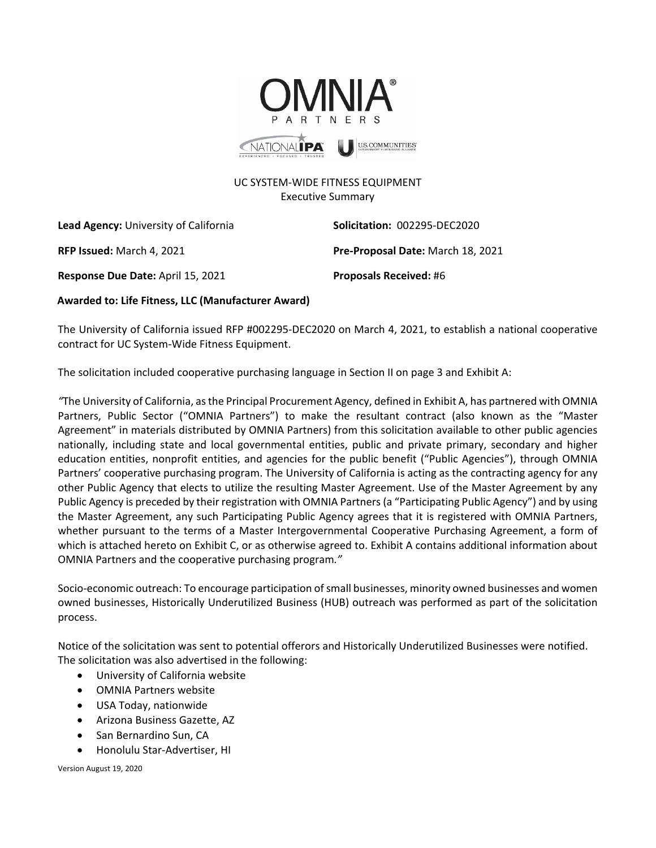

## UC SYSTEM-WIDE FITNESS EQUIPMENT Executive Summary

**Lead Agency:** University of California **Solicitation:** 002295-DEC2020

**Response Due Date:** April 15, 2021 **Proposals Received:** #6

**RFP Issued:** March 4, 2021 **Pre-Proposal Date:** March 18, 2021

 **Awarded to: Life Fitness, LLC (Manufacturer Award)**

The University of California issued RFP #002295-DEC2020 on March 4, 2021, to establish a national cooperative contract for UC System-Wide Fitness Equipment.

The solicitation included cooperative purchasing language in Section II on page 3 and Exhibit A:

*"*The University of California, as the Principal Procurement Agency, defined in Exhibit A, has partnered with OMNIA Partners, Public Sector ("OMNIA Partners") to make the resultant contract (also known as the "Master Agreement" in materials distributed by OMNIA Partners) from this solicitation available to other public agencies nationally, including state and local governmental entities, public and private primary, secondary and higher education entities, nonprofit entities, and agencies for the public benefit ("Public Agencies"), through OMNIA Partners' cooperative purchasing program. The University of California is acting as the contracting agency for any other Public Agency that elects to utilize the resulting Master Agreement. Use of the Master Agreement by any Public Agency is preceded by their registration with OMNIA Partners (a "Participating Public Agency") and by using the Master Agreement, any such Participating Public Agency agrees that it is registered with OMNIA Partners, whether pursuant to the terms of a Master Intergovernmental Cooperative Purchasing Agreement, a form of which is attached hereto on Exhibit C, or as otherwise agreed to. Exhibit A contains additional information about OMNIA Partners and the cooperative purchasing program*."*

Socio-economic outreach: To encourage participation of small businesses, minority owned businesses and women owned businesses, Historically Underutilized Business (HUB) outreach was performed as part of the solicitation process.

Notice of the solicitation was sent to potential offerors and Historically Underutilized Businesses were notified. The solicitation was also advertised in the following:

- University of California website
- OMNIA Partners website
- USA Today, nationwide
- Arizona Business Gazette, AZ
- San Bernardino Sun, CA
- Honolulu Star-Advertiser, HI

Version August 19, 2020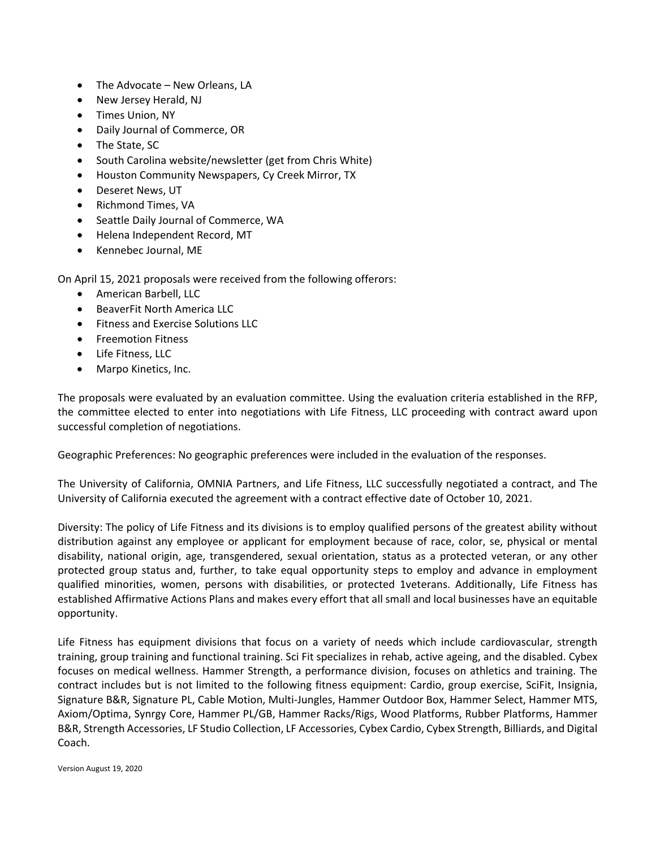- The Advocate New Orleans, LA
- New Jersey Herald, NJ
- Times Union, NY
- Daily Journal of Commerce, OR
- The State, SC
- South Carolina website/newsletter (get from Chris White)
- Houston Community Newspapers, Cy Creek Mirror, TX
- Deseret News, UT
- Richmond Times, VA
- Seattle Daily Journal of Commerce, WA
- Helena Independent Record, MT
- Kennebec Journal, ME

On April 15, 2021 proposals were received from the following offerors:

- American Barbell, LLC
- BeaverFit North America LLC
- Fitness and Exercise Solutions LLC
- Freemotion Fitness
- Life Fitness, LLC
- Marpo Kinetics, Inc.

The proposals were evaluated by an evaluation committee. Using the evaluation criteria established in the RFP, the committee elected to enter into negotiations with Life Fitness, LLC proceeding with contract award upon successful completion of negotiations.

Geographic Preferences: No geographic preferences were included in the evaluation of the responses.

The University of California, OMNIA Partners, and Life Fitness, LLC successfully negotiated a contract, and The University of California executed the agreement with a contract effective date of October 10, 2021.

Diversity: The policy of Life Fitness and its divisions is to employ qualified persons of the greatest ability without distribution against any employee or applicant for employment because of race, color, se, physical or mental disability, national origin, age, transgendered, sexual orientation, status as a protected veteran, or any other protected group status and, further, to take equal opportunity steps to employ and advance in employment qualified minorities, women, persons with disabilities, or protected 1veterans. Additionally, Life Fitness has established Affirmative Actions Plans and makes every effort that all small and local businesses have an equitable opportunity.

Life Fitness has equipment divisions that focus on a variety of needs which include cardiovascular, strength training, group training and functional training. Sci Fit specializes in rehab, active ageing, and the disabled. Cybex focuses on medical wellness. Hammer Strength, a performance division, focuses on athletics and training. The contract includes but is not limited to the following fitness equipment: Cardio, group exercise, SciFit, Insignia, Signature B&R, Signature PL, Cable Motion, Multi-Jungles, Hammer Outdoor Box, Hammer Select, Hammer MTS, Axiom/Optima, Synrgy Core, Hammer PL/GB, Hammer Racks/Rigs, Wood Platforms, Rubber Platforms, Hammer B&R, Strength Accessories, LF Studio Collection, LF Accessories, Cybex Cardio, Cybex Strength, Billiards, and Digital Coach.